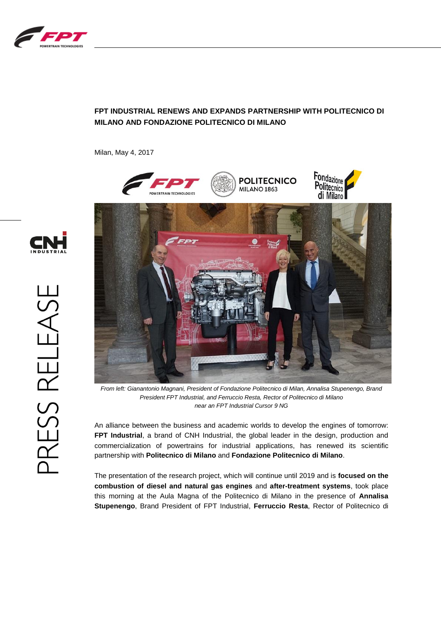

## **FPT INDUSTRIAL RENEWS AND EXPANDS PARTNERSHIP WITH POLITECNICO DI MILANO AND FONDAZIONE POLITECNICO DI MILANO**

Milan, May 4, 2017



*From left: Gianantonio Magnani, President of Fondazione Politecnico di Milan, Annalisa Stupenengo, Brand President FPT Industrial, and Ferruccio Resta, Rector of Politecnico di Milano near an FPT Industrial Cursor 9 NG*

An alliance between the business and academic worlds to develop the engines of tomorrow: **FPT Industrial**, a brand of CNH Industrial, the global leader in the design, production and commercialization of powertrains for industrial applications, has renewed its scientific partnership with **Politecnico di Milano** and **Fondazione Politecnico di Milano**.

The presentation of the research project, which will continue until 2019 and is **focused on the combustion of diesel and natural gas engines** and **after-treatment systems**, took place this morning at the Aula Magna of the Politecnico di Milano in the presence of **Annalisa Stupenengo**, Brand President of FPT Industrial, **Ferruccio Resta**, Rector of Politecnico di

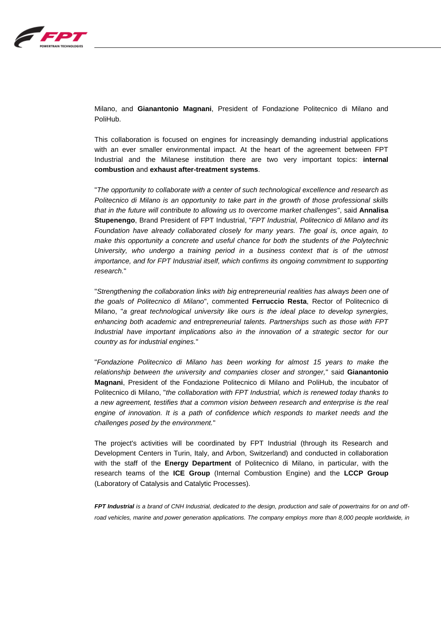

Milano, and **Gianantonio Magnani**, President of Fondazione Politecnico di Milano and PoliHub.

This collaboration is focused on engines for increasingly demanding industrial applications with an ever smaller environmental impact. At the heart of the agreement between FPT Industrial and the Milanese institution there are two very important topics: **internal combustion** and **exhaust after-treatment systems**.

"*The opportunity to collaborate with a center of such technological excellence and research as Politecnico di Milano is an opportunity to take part in the growth of those professional skills that in the future will contribute to allowing us to overcome market challenges*", said **Annalisa Stupenengo**, Brand President of FPT Industrial, "*FPT Industrial, Politecnico di Milano and its Foundation have already collaborated closely for many years. The goal is, once again, to make this opportunity a concrete and useful chance for both the students of the Polytechnic University, who undergo a training period in a business context that is of the utmost importance, and for FPT Industrial itself, which confirms its ongoing commitment to supporting research.*"

"*Strengthening the collaboration links with big entrepreneurial realities has always been one of the goals of Politecnico di Milano*", commented **Ferruccio Resta**, Rector of Politecnico di Milano, "*a great technological university like ours is the ideal place to develop synergies, enhancing both academic and entrepreneurial talents. Partnerships such as those with FPT Industrial have important implications also in the innovation of a strategic sector for our country as for industrial engines.*"

"*Fondazione Politecnico di Milano has been working for almost 15 years to make the relationship between the university and companies closer and stronger,*" said **Gianantonio Magnani**, President of the Fondazione Politecnico di Milano and PoliHub, the incubator of Politecnico di Milano, "*the collaboration with FPT Industrial, which is renewed today thanks to a new agreement, testifies that a common vision between research and enterprise is the real engine of innovation. It is a path of confidence which responds to market needs and the challenges posed by the environment.*"

The project's activities will be coordinated by FPT Industrial (through its Research and Development Centers in Turin, Italy, and Arbon, Switzerland) and conducted in collaboration with the staff of the **Energy Department** of Politecnico di Milano, in particular, with the research teams of the **ICE Group** (Internal Combustion Engine) and the **LCCP Group** (Laboratory of Catalysis and Catalytic Processes).

*FPT Industrial is a brand of CNH Industrial, dedicated to the design, production and sale of powertrains for on and offroad vehicles, marine and power generation applications. The company employs more than 8,000 people worldwide, in*